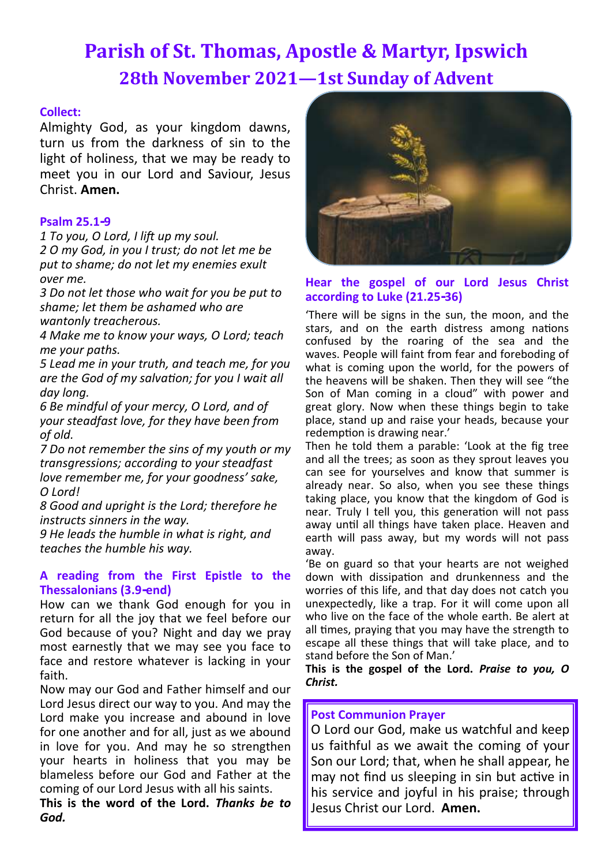# **Parish of St. Thomas, Apostle & Martyr, Ipswich 28th November 2021—1st Sunday of Advent**

# **Collect:**

Almighty God, as your kingdom dawns, turn us from the darkness of sin to the light of holiness, that we may be ready to meet you in our Lord and Saviour, Jesus Christ. **Amen.**

### **Psalm 25.1-9**

*1 To you, O Lord, I lift up my soul. 2 O my God, in you I trust; do not let me be put to shame; do not let my enemies exult over me.*

*3 Do not let those who wait for you be put to shame; let them be ashamed who are wantonly treacherous.*

*4 Make me to know your ways, O Lord; teach me your paths.*

*5 Lead me in your truth, and teach me, for you are the God of my salvation; for you I wait all day long.*

*6 Be mindful of your mercy, O Lord, and of your steadfast love, for they have been from of old.*

*7 Do not remember the sins of my youth or my transgressions; according to your steadfast love remember me, for your goodness' sake, O Lord!*

*8 Good and upright is the Lord; therefore he instructs sinners in the way.*

*9 He leads the humble in what is right, and teaches the humble his way.*

### **A reading from the First Epistle to the Thessalonians (3.9-end)**

How can we thank God enough for you in return for all the joy that we feel before our God because of you? Night and day we pray most earnestly that we may see you face to face and restore whatever is lacking in your faith.

Now may our God and Father himself and our Lord Jesus direct our way to you. And may the Lord make you increase and abound in love for one another and for all, just as we abound in love for you. And may he so strengthen your hearts in holiness that you may be blameless before our God and Father at the coming of our Lord Jesus with all his saints.

**This is the word of the Lord.** *Thanks be to God.*



### **Hear the gospel of our Lord Jesus Christ according to Luke (21.25-36)**

'There will be signs in the sun, the moon, and the stars, and on the earth distress among nations confused by the roaring of the sea and the waves. People will faint from fear and foreboding of what is coming upon the world, for the powers of the heavens will be shaken. Then they will see "the Son of Man coming in a cloud" with power and great glory. Now when these things begin to take place, stand up and raise your heads, because your redemption is drawing near.'

Then he told them a parable: 'Look at the fig tree and all the trees; as soon as they sprout leaves you can see for yourselves and know that summer is already near. So also, when you see these things taking place, you know that the kingdom of God is near. Truly I tell you, this generation will not pass away until all things have taken place. Heaven and earth will pass away, but my words will not pass away.

'Be on guard so that your hearts are not weighed down with dissipation and drunkenness and the worries of this life, and that day does not catch you unexpectedly, like a trap. For it will come upon all who live on the face of the whole earth. Be alert at all times, praying that you may have the strength to escape all these things that will take place, and to stand before the Son of Man.'

**This is the gospel of the Lord.** *Praise to you, O Christ.*

# **Post Communion Prayer**

O Lord our God, make us watchful and keep us faithful as we await the coming of your Son our Lord; that, when he shall appear, he may not find us sleeping in sin but active in his service and joyful in his praise; through Jesus Christ our Lord. **Amen.**